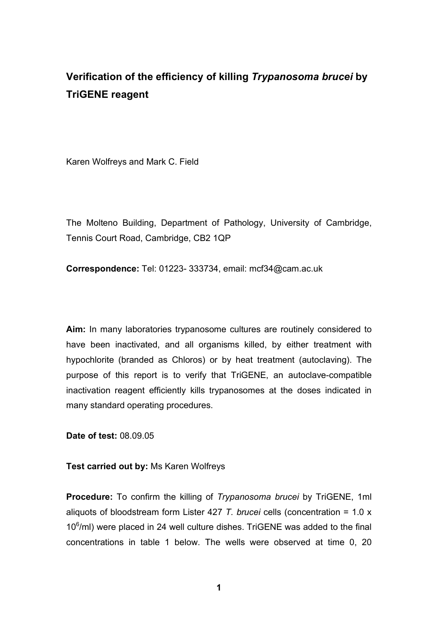## **Verification of the efficiency of killing** *Trypanosoma brucei* **by TriGENE reagent**

Karen Wolfreys and Mark C. Field

The Molteno Building, Department of Pathology, University of Cambridge, Tennis Court Road, Cambridge, CB2 1QP

**Correspondence:** Tel: 01223- 333734, email: mcf34@cam.ac.uk

**Aim:** In many laboratories trypanosome cultures are routinely considered to have been inactivated, and all organisms killed, by either treatment with hypochlorite (branded as Chloros) or by heat treatment (autoclaving). The purpose of this report is to verify that TriGENE, an autoclave-compatible inactivation reagent efficiently kills trypanosomes at the doses indicated in many standard operating procedures.

**Date of test:** 08.09.05

## **Test carried out by:** Ms Karen Wolfreys

**Procedure:** To confirm the killing of *Trypanosoma brucei* by TriGENE, 1ml aliquots of bloodstream form Lister 427 *T. brucei* cells (concentration = 1.0 x 10<sup>6</sup>/ml) were placed in 24 well culture dishes. TriGENE was added to the final concentrations in table 1 below. The wells were observed at time 0, 20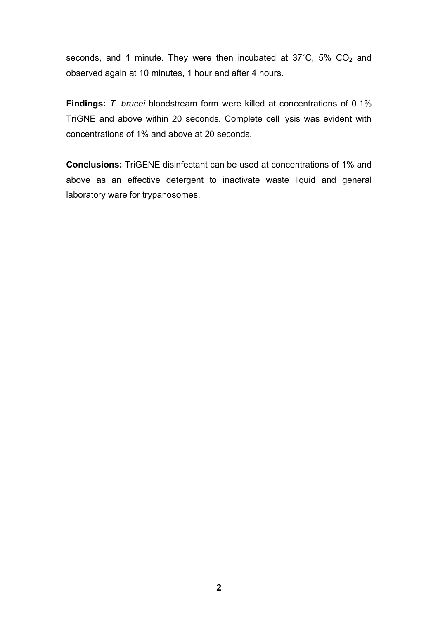seconds, and 1 minute. They were then incubated at  $37^{\circ}$ C,  $5\%$  CO<sub>2</sub> and observed again at 10 minutes, 1 hour and after 4 hours.

**Findings:** *T. brucei* bloodstream form were killed at concentrations of 0.1% TriGNE and above within 20 seconds. Complete cell lysis was evident with concentrations of 1% and above at 20 seconds.

**Conclusions:** TriGENE disinfectant can be used at concentrations of 1% and above as an effective detergent to inactivate waste liquid and general laboratory ware for trypanosomes.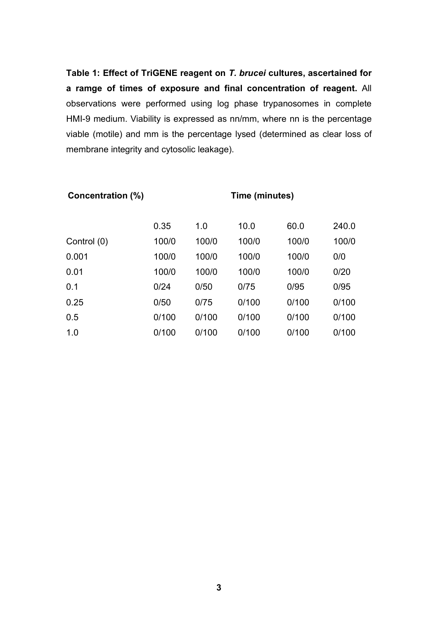**Table 1: Effect of TriGENE reagent on** *T. brucei* **cultures, ascertained for a ramge of times of exposure and final concentration of reagent.** All observations were performed using log phase trypanosomes in complete HMI-9 medium. Viability is expressed as nn/mm, where nn is the percentage viable (motile) and mm is the percentage lysed (determined as clear loss of membrane integrity and cytosolic leakage).

| Time (minutes) |       |       |       |       |
|----------------|-------|-------|-------|-------|
| 0.35           | 1.0   | 10.0  | 60.0  | 240.0 |
| 100/0          | 100/0 | 100/0 | 100/0 | 100/0 |
| 100/0          | 100/0 | 100/0 | 100/0 | 0/0   |
| 100/0          | 100/0 | 100/0 | 100/0 | 0/20  |
| 0/24           | 0/50  | 0/75  | 0/95  | 0/95  |
| 0/50           | 0/75  | 0/100 | 0/100 | 0/100 |
| 0/100          | 0/100 | 0/100 | 0/100 | 0/100 |
| 0/100          | 0/100 | 0/100 | 0/100 | 0/100 |
|                |       |       |       |       |